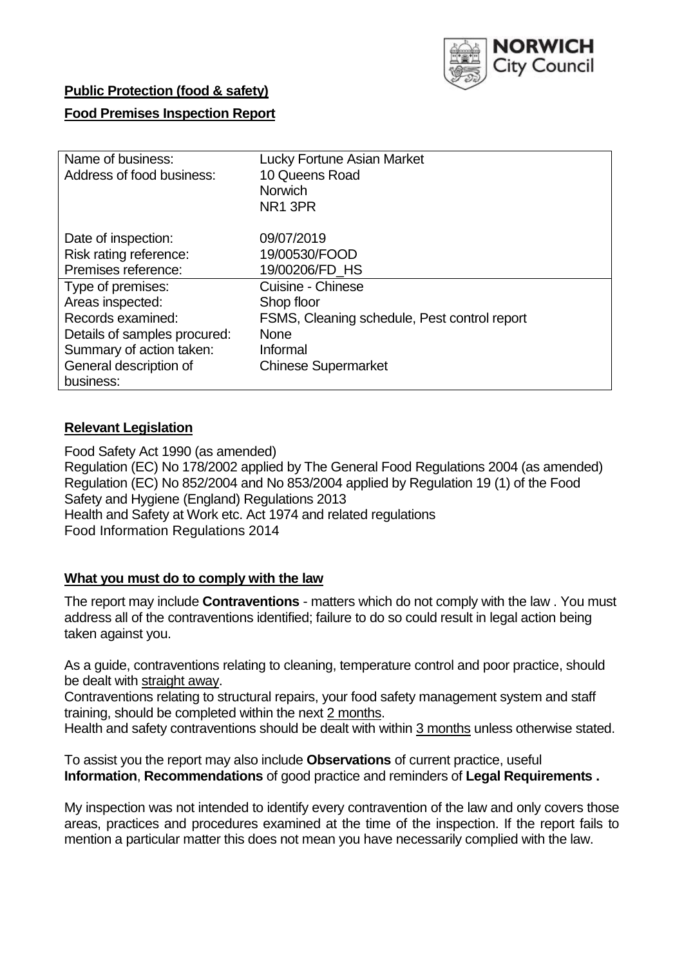

# **Public Protection (food & safety)**

## **Food Premises Inspection Report**

| Name of business:            | <b>Lucky Fortune Asian Market</b>            |
|------------------------------|----------------------------------------------|
| Address of food business:    | 10 Queens Road                               |
|                              | <b>Norwich</b>                               |
|                              | NR <sub>1</sub> 3PR                          |
| Date of inspection:          | 09/07/2019                                   |
| Risk rating reference:       | 19/00530/FOOD                                |
| Premises reference:          | 19/00206/FD HS                               |
| Type of premises:            | <b>Cuisine - Chinese</b>                     |
| Areas inspected:             | Shop floor                                   |
| Records examined:            | FSMS, Cleaning schedule, Pest control report |
| Details of samples procured: | <b>None</b>                                  |
| Summary of action taken:     | Informal                                     |
| General description of       | <b>Chinese Supermarket</b>                   |
| business:                    |                                              |

# **Relevant Legislation**

Food Safety Act 1990 (as amended) Regulation (EC) No 178/2002 applied by The General Food Regulations 2004 (as amended) Regulation (EC) No 852/2004 and No 853/2004 applied by Regulation 19 (1) of the Food Safety and Hygiene (England) Regulations 2013 Health and Safety at Work etc. Act 1974 and related regulations Food Information Regulations 2014

## **What you must do to comply with the law**

The report may include **Contraventions** - matters which do not comply with the law . You must address all of the contraventions identified; failure to do so could result in legal action being taken against you.

As a guide, contraventions relating to cleaning, temperature control and poor practice, should be dealt with straight away.

Contraventions relating to structural repairs, your food safety management system and staff training, should be completed within the next 2 months.

Health and safety contraventions should be dealt with within 3 months unless otherwise stated.

To assist you the report may also include **Observations** of current practice, useful **Information**, **Recommendations** of good practice and reminders of **Legal Requirements .**

My inspection was not intended to identify every contravention of the law and only covers those areas, practices and procedures examined at the time of the inspection. If the report fails to mention a particular matter this does not mean you have necessarily complied with the law.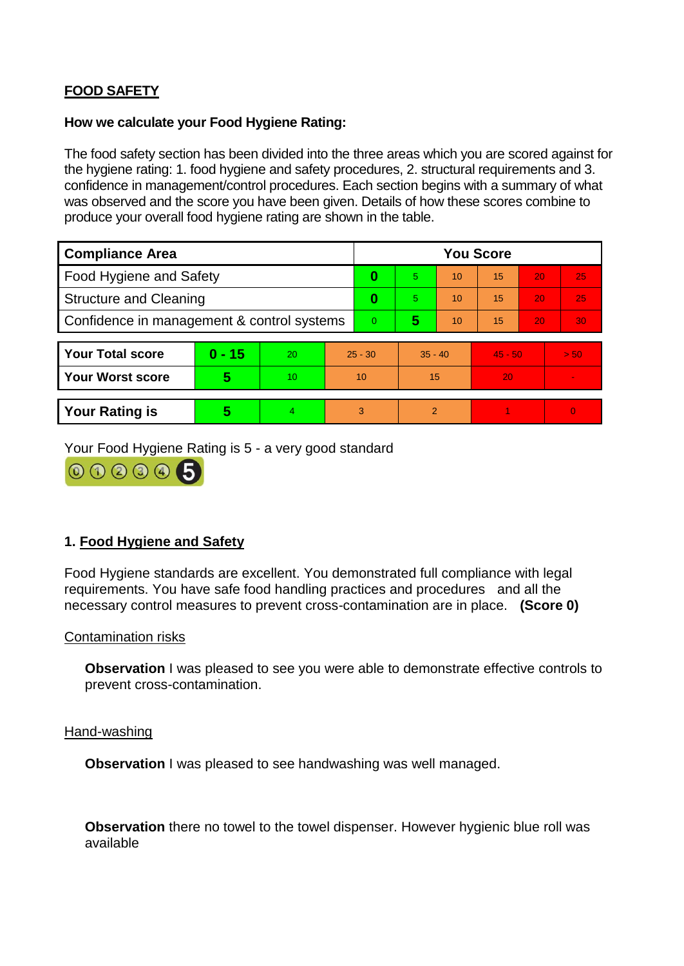# **FOOD SAFETY**

## **How we calculate your Food Hygiene Rating:**

The food safety section has been divided into the three areas which you are scored against for the hygiene rating: 1. food hygiene and safety procedures, 2. structural requirements and 3. confidence in management/control procedures. Each section begins with a summary of what was observed and the score you have been given. Details of how these scores combine to produce your overall food hygiene rating are shown in the table.

| <b>Compliance Area</b>                     |          |    |           | <b>You Score</b> |                |    |           |    |                |  |  |
|--------------------------------------------|----------|----|-----------|------------------|----------------|----|-----------|----|----------------|--|--|
| Food Hygiene and Safety                    |          |    |           | 0                | $\overline{5}$ | 10 | 15        | 20 | 25             |  |  |
| <b>Structure and Cleaning</b>              |          |    | 0         | 5.               | 10             | 15 | 20        | 25 |                |  |  |
| Confidence in management & control systems |          |    | $\Omega$  | 5                | 10             | 15 | 20        | 30 |                |  |  |
|                                            |          |    |           |                  |                |    |           |    |                |  |  |
| <b>Your Total score</b>                    | $0 - 15$ | 20 | $25 - 30$ |                  | $35 - 40$      |    | $45 - 50$ |    | > 50           |  |  |
| <b>Your Worst score</b>                    | 5        | 10 | 10        |                  | 15             |    | 20        |    | $\blacksquare$ |  |  |
|                                            |          |    |           |                  |                |    |           |    |                |  |  |
| <b>Your Rating is</b>                      | 5        | 4  | 3         |                  | $\overline{2}$ |    |           |    | $\Omega$       |  |  |

Your Food Hygiene Rating is 5 - a very good standard



# **1. Food Hygiene and Safety**

Food Hygiene standards are excellent. You demonstrated full compliance with legal requirements. You have safe food handling practices and procedures and all the necessary control measures to prevent cross-contamination are in place. **(Score 0)**

#### Contamination risks

**Observation** I was pleased to see you were able to demonstrate effective controls to prevent cross-contamination.

Hand-washing

**Observation** I was pleased to see handwashing was well managed.

**Observation** there no towel to the towel dispenser. However hygienic blue roll was available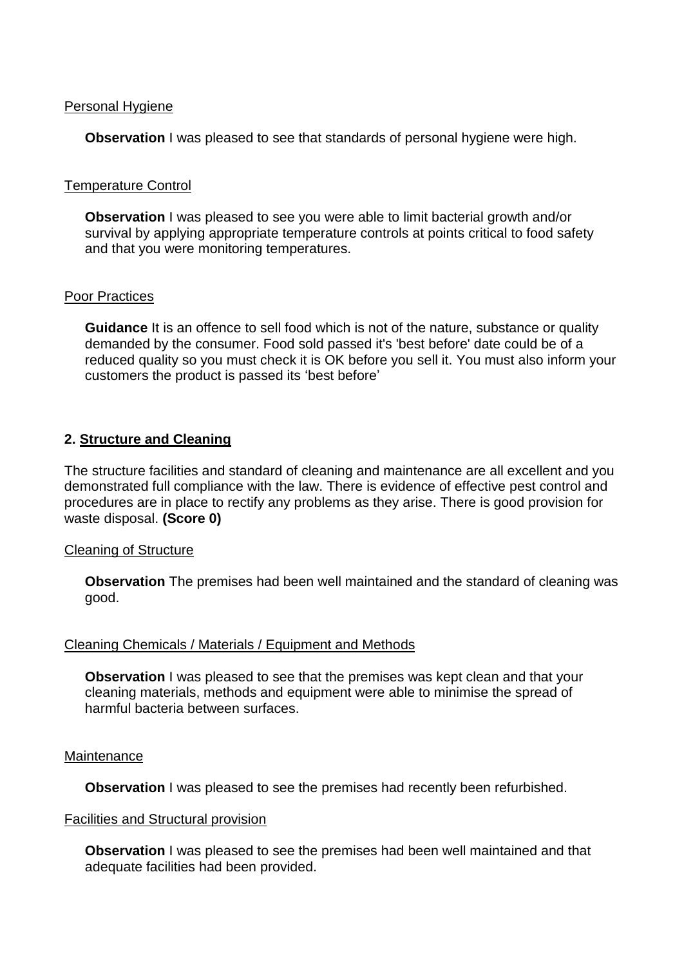### Personal Hygiene

**Observation** I was pleased to see that standards of personal hygiene were high.

## Temperature Control

**Observation** I was pleased to see you were able to limit bacterial growth and/or survival by applying appropriate temperature controls at points critical to food safety and that you were monitoring temperatures.

#### Poor Practices

**Guidance** It is an offence to sell food which is not of the nature, substance or quality demanded by the consumer. Food sold passed it's 'best before' date could be of a reduced quality so you must check it is OK before you sell it. You must also inform your customers the product is passed its 'best before'

## **2. Structure and Cleaning**

The structure facilities and standard of cleaning and maintenance are all excellent and you demonstrated full compliance with the law. There is evidence of effective pest control and procedures are in place to rectify any problems as they arise. There is good provision for waste disposal. **(Score 0)**

#### Cleaning of Structure

**Observation** The premises had been well maintained and the standard of cleaning was good.

#### Cleaning Chemicals / Materials / Equipment and Methods

**Observation** I was pleased to see that the premises was kept clean and that your cleaning materials, methods and equipment were able to minimise the spread of harmful bacteria between surfaces.

#### **Maintenance**

**Observation** I was pleased to see the premises had recently been refurbished.

#### Facilities and Structural provision

**Observation I** was pleased to see the premises had been well maintained and that adequate facilities had been provided.